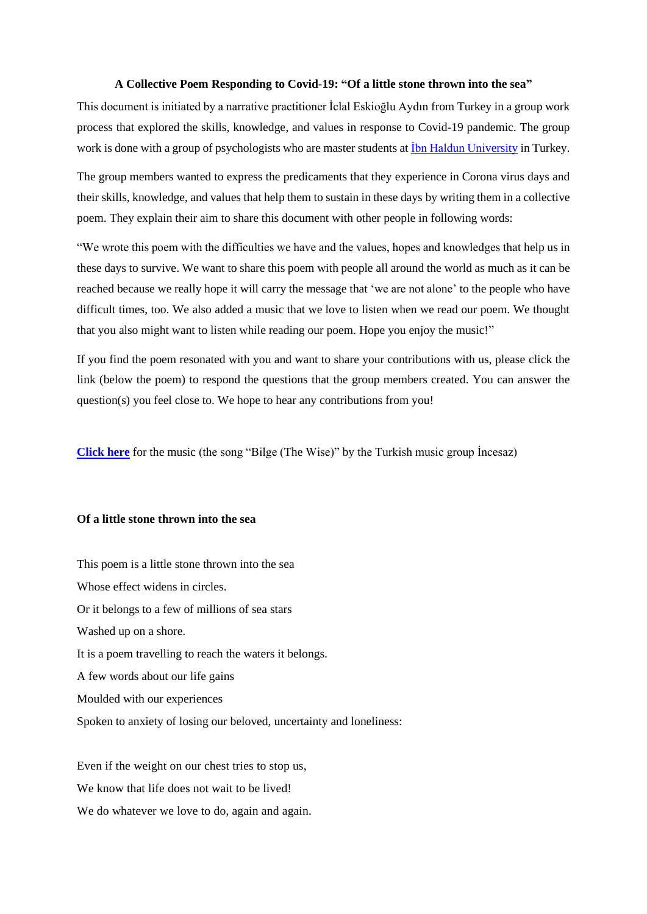## **A Collective Poem Responding to Covid-19: "Of a little stone thrown into the sea"**

This document is initiated by a narrative practitioner İclal Eskioğlu Aydın from Turkey in a group work process that explored the skills, knowledge, and values in response to Covid-19 pandemic. The group work is done with a group of psychologists who are master students at [İbn Haldun University](https://www.ihu.edu.tr/en/) in Turkey.

The group members wanted to express the predicaments that they experience in Corona virus days and their skills, knowledge, and values that help them to sustain in these days by writing them in a collective poem. They explain their aim to share this document with other people in following words:

"We wrote this poem with the difficulties we have and the values, hopes and knowledges that help us in these days to survive. We want to share this poem with people all around the world as much as it can be reached because we really hope it will carry the message that 'we are not alone' to the people who have difficult times, too. We also added a music that we love to listen when we read our poem. We thought that you also might want to listen while reading our poem. Hope you enjoy the music!"

If you find the poem resonated with you and want to share your contributions with us, please click the link (below the poem) to respond the questions that the group members created. You can answer the question(s) you feel close to. We hope to hear any contributions from you!

**[Click here](https://www.youtube.com/watch?v=JzV6TAm8L28)** for the music (the song "Bilge (The Wise)" by the Turkish music group İncesaz)

## **Of a little stone thrown into the sea**

This poem is a little stone thrown into the sea Whose effect widens in circles. Or it belongs to a few of millions of sea stars Washed up on a shore. It is a poem travelling to reach the waters it belongs. A few words about our life gains Moulded with our experiences Spoken to anxiety of losing our beloved, uncertainty and loneliness:

Even if the weight on our chest tries to stop us, We know that life does not wait to be lived! We do whatever we love to do, again and again.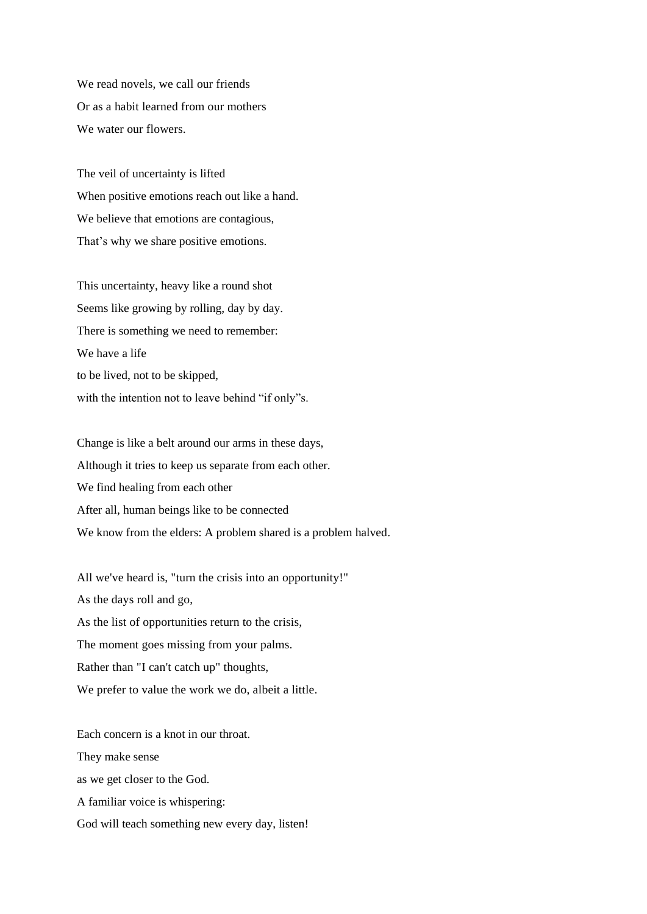We read novels, we call our friends Or as a habit learned from our mothers We water our flowers.

The veil of uncertainty is lifted When positive emotions reach out like a hand. We believe that emotions are contagious, That's why we share positive emotions.

This uncertainty, heavy like a round shot Seems like growing by rolling, day by day. There is something we need to remember: We have a life to be lived, not to be skipped, with the intention not to leave behind "if only"s.

Change is like a belt around our arms in these days, Although it tries to keep us separate from each other. We find healing from each other After all, human beings like to be connected We know from the elders: A problem shared is a problem halved.

All we've heard is, "turn the crisis into an opportunity!" As the days roll and go, As the list of opportunities return to the crisis, The moment goes missing from your palms. Rather than "I can't catch up" thoughts, We prefer to value the work we do, albeit a little.

Each concern is a knot in our throat. They make sense as we get closer to the God. A familiar voice is whispering: God will teach something new every day, listen!